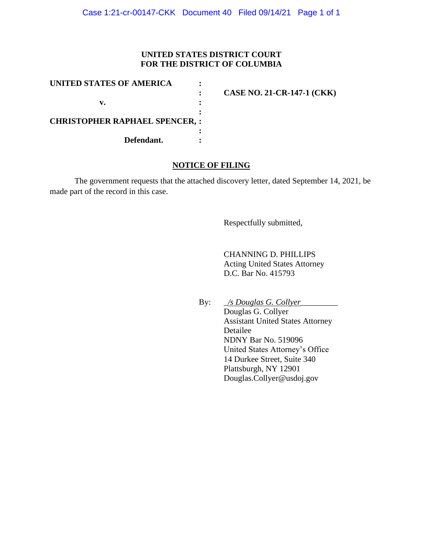## **UNITED STATES DISTRICT COURT FOR THE DISTRICT OF COLUMBIA**

| UNITED STATES OF AMERICA             |                                   |
|--------------------------------------|-----------------------------------|
|                                      | <b>CASE NO. 21-CR-147-1 (CKK)</b> |
| v.                                   |                                   |
|                                      |                                   |
| <b>CHRISTOPHER RAPHAEL SPENCER,:</b> |                                   |
|                                      |                                   |
| Defendant.                           |                                   |

## **NOTICE OF FILING**

The government requests that the attached discovery letter, dated September 14, 2021, be made part of the record in this case.

Respectfully submitted,

CHANNING D. PHILLIPS Acting United States Attorney D.C. Bar No. 415793

By: \_*/s Douglas G. Collyer*\_\_\_\_\_\_\_\_\_

Douglas G. Collyer Assistant United States Attorney Detailee NDNY Bar No. 519096 United States Attorney's Office 14 Durkee Street, Suite 340 Plattsburgh, NY 12901 Douglas.Collyer@usdoj.gov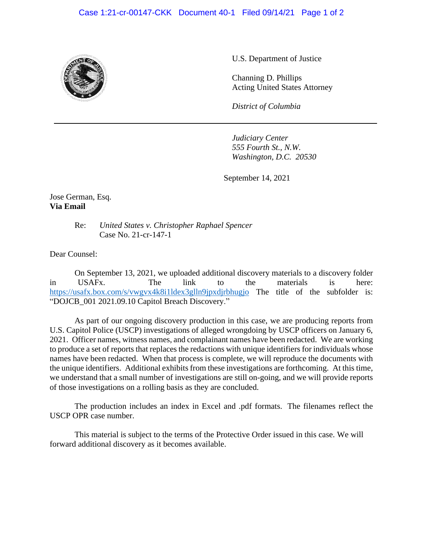## Case 1:21-cr-00147-CKK Document 40-1 Filed 09/14/21 Page 1 of 2



U.S. Department of Justice

Channing D. Phillips Acting United States Attorney

*District of Columbia*

*Judiciary Center 555 Fourth St., N.W. Washington, D.C. 20530*

September 14, 2021

Jose German, Esq. **Via Email**

> Re: *United States v. Christopher Raphael Spencer* Case No. 21-cr-147-1

Dear Counsel:

On September 13, 2021, we uploaded additional discovery materials to a discovery folder in USAFx. The link to the materials is here: https://usafx.box.com/s/vwgvx4k8i1ldex3glln9jpxdjrbhugjo The title of the subfolder is: "DOJCB\_001 2021.09.10 Capitol Breach Discovery."

As part of our ongoing discovery production in this case, we are producing reports from U.S. Capitol Police (USCP) investigations of alleged wrongdoing by USCP officers on January 6, 2021. Officer names, witness names, and complainant names have been redacted. We are working to produce a set of reports that replaces the redactions with unique identifiers for individuals whose names have been redacted. When that process is complete, we will reproduce the documents with the unique identifiers. Additional exhibits from these investigations are forthcoming. At this time, we understand that a small number of investigations are still on-going, and we will provide reports of those investigations on a rolling basis as they are concluded.

The production includes an index in Excel and .pdf formats. The filenames reflect the USCP OPR case number.

This material is subject to the terms of the Protective Order issued in this case. We will forward additional discovery as it becomes available.